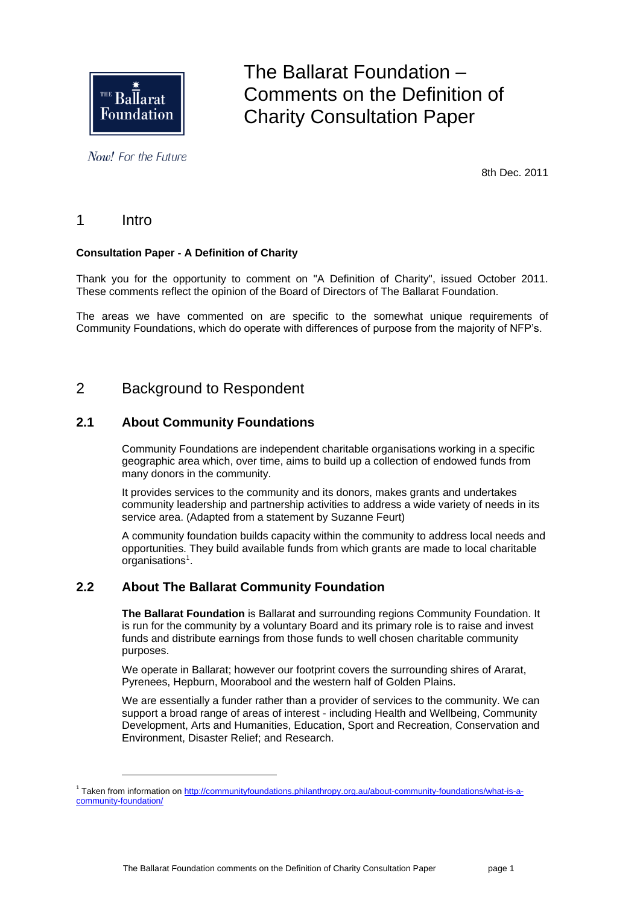

Now! For the Future

The Ballarat Foundation – Comments on the Definition of Charity Consultation Paper

8th Dec. 2011

# 1 Intro

l

### **Consultation Paper - A Definition of Charity**

Thank you for the opportunity to comment on "A Definition of Charity", issued October 2011. These comments reflect the opinion of the Board of Directors of The Ballarat Foundation.

The areas we have commented on are specific to the somewhat unique requirements of Community Foundations, which do operate with differences of purpose from the majority of NFP's.

# 2 Background to Respondent

# **2.1 About Community Foundations**

Community Foundations are independent charitable organisations working in a specific geographic area which, over time, aims to build up a collection of endowed funds from many donors in the community.

It provides services to the community and its donors, makes grants and undertakes community leadership and partnership activities to address a wide variety of needs in its service area. (Adapted from a statement by Suzanne Feurt)

A community foundation builds capacity within the community to address local needs and opportunities. They build available funds from which grants are made to local charitable organisations $<sup>1</sup>$ .</sup>

### **2.2 About The Ballarat Community Foundation**

**The Ballarat Foundation** is Ballarat and surrounding regions Community Foundation. It is run for the community by a voluntary Board and its primary role is to raise and invest funds and distribute earnings from those funds to well chosen charitable community purposes.

We operate in Ballarat; however our footprint covers the surrounding shires of Ararat, Pyrenees, Hepburn, Moorabool and the western half of Golden Plains.

We are essentially a funder rather than a provider of services to the community. We can support a broad range of areas of interest - including Health and Wellbeing, Community Development, Arts and Humanities, Education, Sport and Recreation, Conservation and Environment, Disaster Relief; and Research.

<sup>&</sup>lt;sup>1</sup> Taken from information o[n http://communityfoundations.philanthropy.org.au/about-community-foundations/what-is-a](http://communityfoundations.philanthropy.org.au/about-community-foundations/what-is-a-community-foundation/)[community-foundation/](http://communityfoundations.philanthropy.org.au/about-community-foundations/what-is-a-community-foundation/)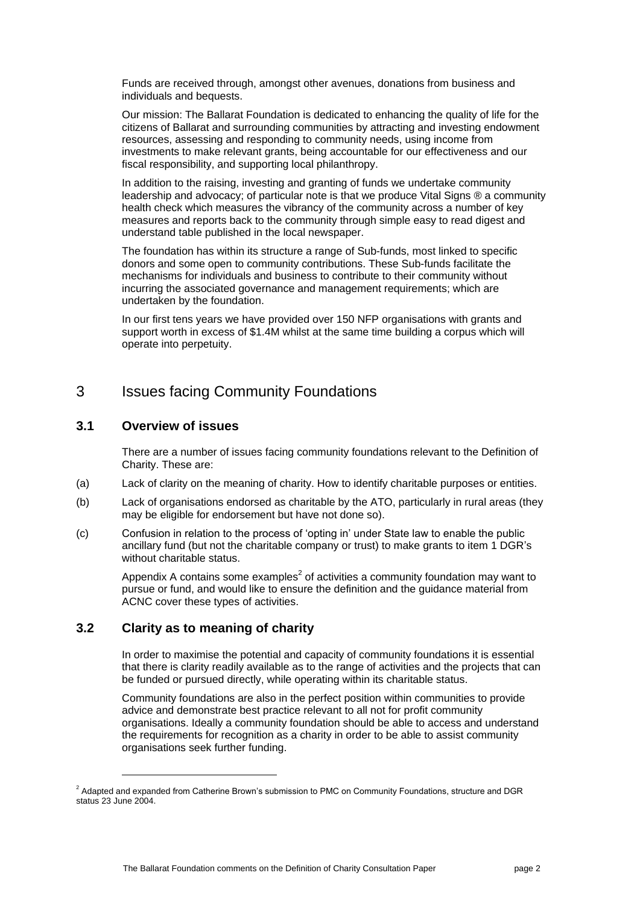Funds are received through, amongst other avenues, donations from business and individuals and bequests.

Our mission: The Ballarat Foundation is dedicated to enhancing the quality of life for the citizens of Ballarat and surrounding communities by attracting and investing endowment resources, assessing and responding to community needs, using income from investments to make relevant grants, being accountable for our effectiveness and our fiscal responsibility, and supporting local philanthropy.

In addition to the raising, investing and granting of funds we undertake community leadership and advocacy; of particular note is that we produce Vital Signs ® a community health check which measures the vibrancy of the community across a number of key measures and reports back to the community through simple easy to read digest and understand table published in the local newspaper.

The foundation has within its structure a range of Sub-funds, most linked to specific donors and some open to community contributions. These Sub-funds facilitate the mechanisms for individuals and business to contribute to their community without incurring the associated governance and management requirements; which are undertaken by the foundation.

In our first tens years we have provided over 150 NFP organisations with grants and support worth in excess of \$1.4M whilst at the same time building a corpus which will operate into perpetuity.

# 3 Issues facing Community Foundations

### **3.1 Overview of issues**

There are a number of issues facing community foundations relevant to the Definition of Charity. These are:

- (a) Lack of clarity on the meaning of charity. How to identify charitable purposes or entities.
- (b) Lack of organisations endorsed as charitable by the ATO, particularly in rural areas (they may be eligible for endorsement but have not done so).
- (c) Confusion in relation to the process of 'opting in' under State law to enable the public ancillary fund (but not the charitable company or trust) to make grants to item 1 DGR's without charitable status.

Appendix A contains some examples<sup>2</sup> of activities a community foundation may want to pursue or fund, and would like to ensure the definition and the guidance material from ACNC cover these types of activities.

# **3.2 Clarity as to meaning of charity**

l

In order to maximise the potential and capacity of community foundations it is essential that there is clarity readily available as to the range of activities and the projects that can be funded or pursued directly, while operating within its charitable status.

Community foundations are also in the perfect position within communities to provide advice and demonstrate best practice relevant to all not for profit community organisations. Ideally a community foundation should be able to access and understand the requirements for recognition as a charity in order to be able to assist community organisations seek further funding.

<sup>&</sup>lt;sup>2</sup> Adapted and expanded from Catherine Brown's submission to PMC on Community Foundations, structure and DGR status 23 June 2004.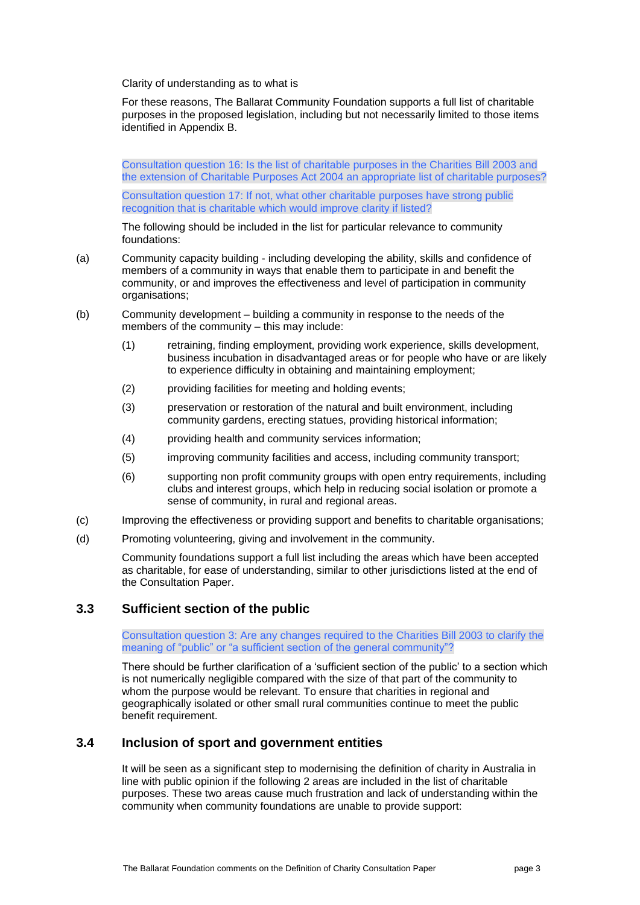Clarity of understanding as to what is

For these reasons, The Ballarat Community Foundation supports a full list of charitable purposes in the proposed legislation, including but not necessarily limited to those items identified in Appendix B.

Consultation question 16: Is the list of charitable purposes in the Charities Bill 2003 and the extension of Charitable Purposes Act 2004 an appropriate list of charitable purposes?

Consultation question 17: If not, what other charitable purposes have strong public recognition that is charitable which would improve clarity if listed?

The following should be included in the list for particular relevance to community foundations:

- (a) Community capacity building including developing the ability, skills and confidence of members of a community in ways that enable them to participate in and benefit the community, or and improves the effectiveness and level of participation in community organisations;
- (b) Community development building a community in response to the needs of the members of the community – this may include:
	- (1) retraining, finding employment, providing work experience, skills development, business incubation in disadvantaged areas or for people who have or are likely to experience difficulty in obtaining and maintaining employment;
	- (2) providing facilities for meeting and holding events;
	- (3) preservation or restoration of the natural and built environment, including community gardens, erecting statues, providing historical information;
	- (4) providing health and community services information;
	- (5) improving community facilities and access, including community transport;
	- (6) supporting non profit community groups with open entry requirements, including clubs and interest groups, which help in reducing social isolation or promote a sense of community, in rural and regional areas.
- (c) Improving the effectiveness or providing support and benefits to charitable organisations;
- (d) Promoting volunteering, giving and involvement in the community.

Community foundations support a full list including the areas which have been accepted as charitable, for ease of understanding, similar to other jurisdictions listed at the end of the Consultation Paper.

### **3.3 Sufficient section of the public**

Consultation question 3: Are any changes required to the Charities Bill 2003 to clarify the meaning of "public" or "a sufficient section of the general community"?

There should be further clarification of a 'sufficient section of the public' to a section which is not numerically negligible compared with the size of that part of the community to whom the purpose would be relevant. To ensure that charities in regional and geographically isolated or other small rural communities continue to meet the public benefit requirement.

### **3.4 Inclusion of sport and government entities**

It will be seen as a significant step to modernising the definition of charity in Australia in line with public opinion if the following 2 areas are included in the list of charitable purposes. These two areas cause much frustration and lack of understanding within the community when community foundations are unable to provide support: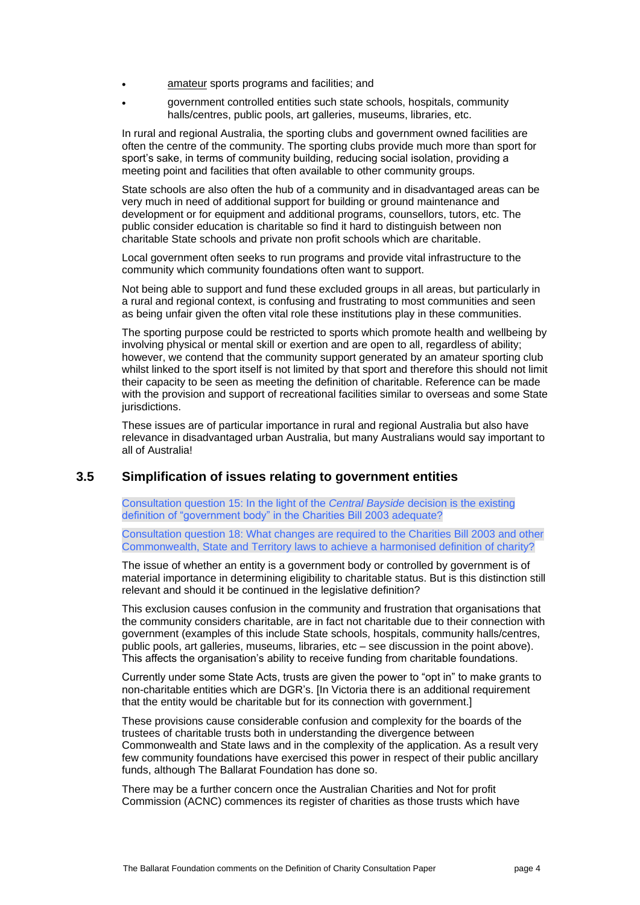- amateur sports programs and facilities; and
- government controlled entities such state schools, hospitals, community halls/centres, public pools, art galleries, museums, libraries, etc.

In rural and regional Australia, the sporting clubs and government owned facilities are often the centre of the community. The sporting clubs provide much more than sport for sport's sake, in terms of community building, reducing social isolation, providing a meeting point and facilities that often available to other community groups.

State schools are also often the hub of a community and in disadvantaged areas can be very much in need of additional support for building or ground maintenance and development or for equipment and additional programs, counsellors, tutors, etc. The public consider education is charitable so find it hard to distinguish between non charitable State schools and private non profit schools which are charitable.

Local government often seeks to run programs and provide vital infrastructure to the community which community foundations often want to support.

Not being able to support and fund these excluded groups in all areas, but particularly in a rural and regional context, is confusing and frustrating to most communities and seen as being unfair given the often vital role these institutions play in these communities.

The sporting purpose could be restricted to sports which promote health and wellbeing by involving physical or mental skill or exertion and are open to all, regardless of ability; however, we contend that the community support generated by an amateur sporting club whilst linked to the sport itself is not limited by that sport and therefore this should not limit their capacity to be seen as meeting the definition of charitable. Reference can be made with the provision and support of recreational facilities similar to overseas and some State jurisdictions.

These issues are of particular importance in rural and regional Australia but also have relevance in disadvantaged urban Australia, but many Australians would say important to all of Australia!

### **3.5 Simplification of issues relating to government entities**

Consultation question 15: In the light of the *Central Bayside* decision is the existing definition of "government body" in the Charities Bill 2003 adequate?

Consultation question 18: What changes are required to the Charities Bill 2003 and other Commonwealth, State and Territory laws to achieve a harmonised definition of charity?

The issue of whether an entity is a government body or controlled by government is of material importance in determining eligibility to charitable status. But is this distinction still relevant and should it be continued in the legislative definition?

This exclusion causes confusion in the community and frustration that organisations that the community considers charitable, are in fact not charitable due to their connection with government (examples of this include State schools, hospitals, community halls/centres, public pools, art galleries, museums, libraries, etc – see discussion in the point above). This affects the organisation's ability to receive funding from charitable foundations.

Currently under some State Acts, trusts are given the power to "opt in" to make grants to non-charitable entities which are DGR's. [In Victoria there is an additional requirement that the entity would be charitable but for its connection with government.]

These provisions cause considerable confusion and complexity for the boards of the trustees of charitable trusts both in understanding the divergence between Commonwealth and State laws and in the complexity of the application. As a result very few community foundations have exercised this power in respect of their public ancillary funds, although The Ballarat Foundation has done so.

There may be a further concern once the Australian Charities and Not for profit Commission (ACNC) commences its register of charities as those trusts which have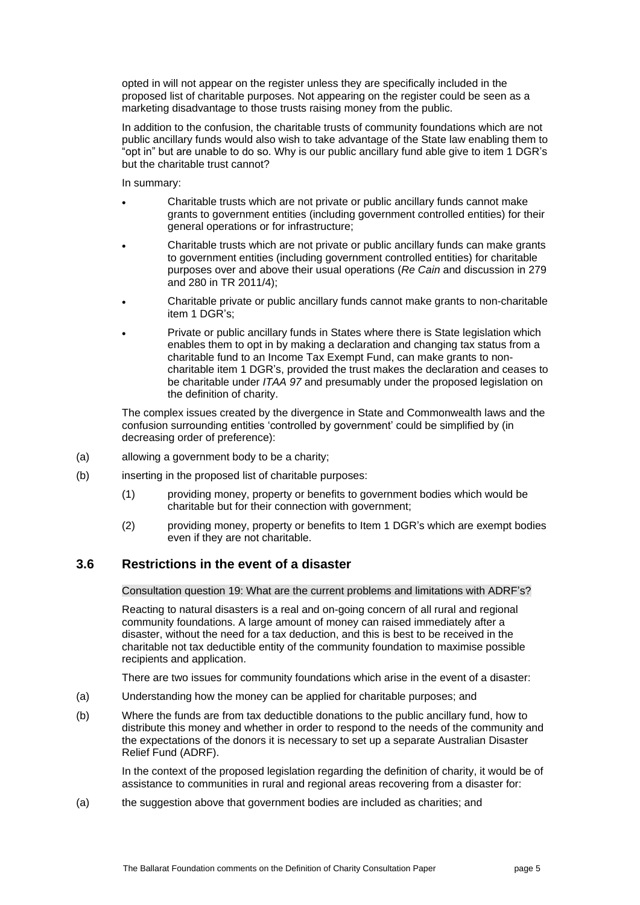opted in will not appear on the register unless they are specifically included in the proposed list of charitable purposes. Not appearing on the register could be seen as a marketing disadvantage to those trusts raising money from the public.

In addition to the confusion, the charitable trusts of community foundations which are not public ancillary funds would also wish to take advantage of the State law enabling them to "opt in" but are unable to do so. Why is our public ancillary fund able give to item 1 DGR's but the charitable trust cannot?

In summary:

- Charitable trusts which are not private or public ancillary funds cannot make grants to government entities (including government controlled entities) for their general operations or for infrastructure;
- Charitable trusts which are not private or public ancillary funds can make grants to government entities (including government controlled entities) for charitable purposes over and above their usual operations (*Re Cain* and discussion in 279 and 280 in TR 2011/4);
- Charitable private or public ancillary funds cannot make grants to non-charitable item 1 DGR's;
- Private or public ancillary funds in States where there is State legislation which enables them to opt in by making a declaration and changing tax status from a charitable fund to an Income Tax Exempt Fund, can make grants to noncharitable item 1 DGR's, provided the trust makes the declaration and ceases to be charitable under *ITAA 97* and presumably under the proposed legislation on the definition of charity.

The complex issues created by the divergence in State and Commonwealth laws and the confusion surrounding entities 'controlled by government' could be simplified by (in decreasing order of preference):

- (a) allowing a government body to be a charity;
- (b) inserting in the proposed list of charitable purposes:
	- (1) providing money, property or benefits to government bodies which would be charitable but for their connection with government;
	- (2) providing money, property or benefits to Item 1 DGR's which are exempt bodies even if they are not charitable.

### **3.6 Restrictions in the event of a disaster**

Consultation question 19: What are the current problems and limitations with ADRF's?

Reacting to natural disasters is a real and on-going concern of all rural and regional community foundations. A large amount of money can raised immediately after a disaster, without the need for a tax deduction, and this is best to be received in the charitable not tax deductible entity of the community foundation to maximise possible recipients and application.

There are two issues for community foundations which arise in the event of a disaster:

- (a) Understanding how the money can be applied for charitable purposes; and
- (b) Where the funds are from tax deductible donations to the public ancillary fund, how to distribute this money and whether in order to respond to the needs of the community and the expectations of the donors it is necessary to set up a separate Australian Disaster Relief Fund (ADRF).

In the context of the proposed legislation regarding the definition of charity, it would be of assistance to communities in rural and regional areas recovering from a disaster for:

(a) the suggestion above that government bodies are included as charities; and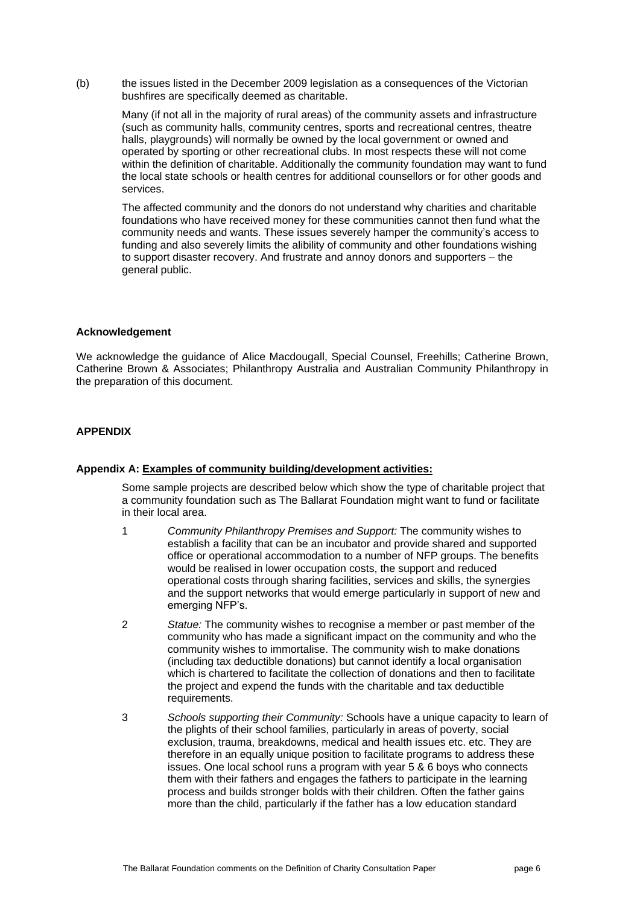(b) the issues listed in the December 2009 legislation as a consequences of the Victorian bushfires are specifically deemed as charitable.

Many (if not all in the majority of rural areas) of the community assets and infrastructure (such as community halls, community centres, sports and recreational centres, theatre halls, playgrounds) will normally be owned by the local government or owned and operated by sporting or other recreational clubs. In most respects these will not come within the definition of charitable. Additionally the community foundation may want to fund the local state schools or health centres for additional counsellors or for other goods and services.

The affected community and the donors do not understand why charities and charitable foundations who have received money for these communities cannot then fund what the community needs and wants. These issues severely hamper the community's access to funding and also severely limits the alibility of community and other foundations wishing to support disaster recovery. And frustrate and annoy donors and supporters – the general public.

#### **Acknowledgement**

We acknowledge the guidance of Alice Macdougall, Special Counsel, Freehills; Catherine Brown, Catherine Brown & Associates; Philanthropy Australia and Australian Community Philanthropy in the preparation of this document.

#### **APPENDIX**

#### **Appendix A: Examples of community building/development activities:**

Some sample projects are described below which show the type of charitable project that a community foundation such as The Ballarat Foundation might want to fund or facilitate in their local area.

- 1 *Community Philanthropy Premises and Support:* The community wishes to establish a facility that can be an incubator and provide shared and supported office or operational accommodation to a number of NFP groups. The benefits would be realised in lower occupation costs, the support and reduced operational costs through sharing facilities, services and skills, the synergies and the support networks that would emerge particularly in support of new and emerging NFP's.
- 2 *Statue:* The community wishes to recognise a member or past member of the community who has made a significant impact on the community and who the community wishes to immortalise. The community wish to make donations (including tax deductible donations) but cannot identify a local organisation which is chartered to facilitate the collection of donations and then to facilitate the project and expend the funds with the charitable and tax deductible requirements.
- 3 *Schools supporting their Community:* Schools have a unique capacity to learn of the plights of their school families, particularly in areas of poverty, social exclusion, trauma, breakdowns, medical and health issues etc. etc. They are therefore in an equally unique position to facilitate programs to address these issues. One local school runs a program with year 5 & 6 boys who connects them with their fathers and engages the fathers to participate in the learning process and builds stronger bolds with their children. Often the father gains more than the child, particularly if the father has a low education standard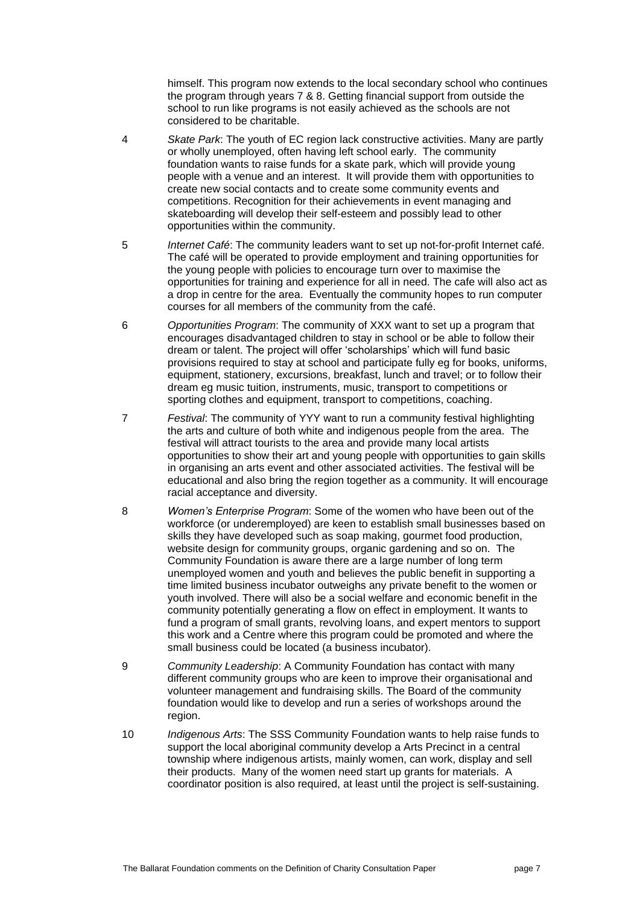himself. This program now extends to the local secondary school who continues the program through years 7 & 8. Getting financial support from outside the school to run like programs is not easily achieved as the schools are not considered to be charitable.

- 4 *Skate Park*: The youth of EC region lack constructive activities. Many are partly or wholly unemployed, often having left school early. The community foundation wants to raise funds for a skate park, which will provide young people with a venue and an interest. It will provide them with opportunities to create new social contacts and to create some community events and competitions. Recognition for their achievements in event managing and skateboarding will develop their self-esteem and possibly lead to other opportunities within the community.
- 5 *Internet Café*: The community leaders want to set up not-for-profit Internet café. The café will be operated to provide employment and training opportunities for the young people with policies to encourage turn over to maximise the opportunities for training and experience for all in need. The cafe will also act as a drop in centre for the area. Eventually the community hopes to run computer courses for all members of the community from the café.
- 6 *Opportunities Program*: The community of XXX want to set up a program that encourages disadvantaged children to stay in school or be able to follow their dream or talent. The project will offer 'scholarships' which will fund basic provisions required to stay at school and participate fully eg for books, uniforms, equipment, stationery, excursions, breakfast, lunch and travel; or to follow their dream eg music tuition, instruments, music, transport to competitions or sporting clothes and equipment, transport to competitions, coaching.
- 7 *Festival*: The community of YYY want to run a community festival highlighting the arts and culture of both white and indigenous people from the area. The festival will attract tourists to the area and provide many local artists opportunities to show their art and young people with opportunities to gain skills in organising an arts event and other associated activities. The festival will be educational and also bring the region together as a community. It will encourage racial acceptance and diversity.
- 8 *Women's Enterprise Program*: Some of the women who have been out of the workforce (or underemployed) are keen to establish small businesses based on skills they have developed such as soap making, gourmet food production, website design for community groups, organic gardening and so on. The Community Foundation is aware there are a large number of long term unemployed women and youth and believes the public benefit in supporting a time limited business incubator outweighs any private benefit to the women or youth involved. There will also be a social welfare and economic benefit in the community potentially generating a flow on effect in employment. It wants to fund a program of small grants, revolving loans, and expert mentors to support this work and a Centre where this program could be promoted and where the small business could be located (a business incubator).
- 9 *Community Leadership*: A Community Foundation has contact with many different community groups who are keen to improve their organisational and volunteer management and fundraising skills. The Board of the community foundation would like to develop and run a series of workshops around the region.
- 10 *Indigenous Arts*: The SSS Community Foundation wants to help raise funds to support the local aboriginal community develop a Arts Precinct in a central township where indigenous artists, mainly women, can work, display and sell their products. Many of the women need start up grants for materials. A coordinator position is also required, at least until the project is self-sustaining.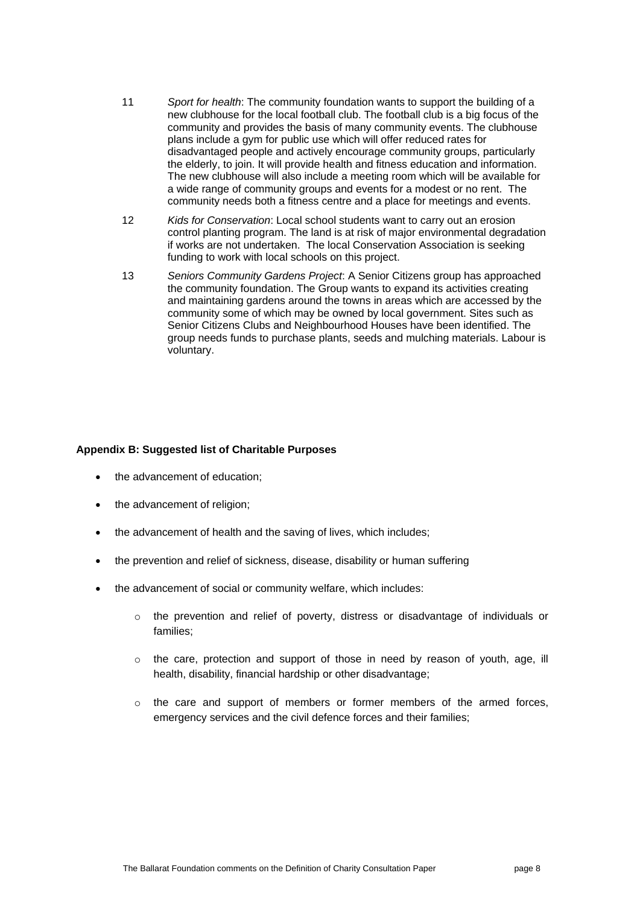- 11 *Sport for health*: The community foundation wants to support the building of a new clubhouse for the local football club. The football club is a big focus of the community and provides the basis of many community events. The clubhouse plans include a gym for public use which will offer reduced rates for disadvantaged people and actively encourage community groups, particularly the elderly, to join. It will provide health and fitness education and information. The new clubhouse will also include a meeting room which will be available for a wide range of community groups and events for a modest or no rent. The community needs both a fitness centre and a place for meetings and events.
- 12 *Kids for Conservation*: Local school students want to carry out an erosion control planting program. The land is at risk of major environmental degradation if works are not undertaken. The local Conservation Association is seeking funding to work with local schools on this project.
- 13 *Seniors Community Gardens Project*: A Senior Citizens group has approached the community foundation. The Group wants to expand its activities creating and maintaining gardens around the towns in areas which are accessed by the community some of which may be owned by local government. Sites such as Senior Citizens Clubs and Neighbourhood Houses have been identified. The group needs funds to purchase plants, seeds and mulching materials. Labour is voluntary.

#### **Appendix B: Suggested list of Charitable Purposes**

- the advancement of education;
- the advancement of religion;
- the advancement of health and the saving of lives, which includes;
- the prevention and relief of sickness, disease, disability or human suffering
- the advancement of social or community welfare, which includes:
	- $\circ$  the prevention and relief of poverty, distress or disadvantage of individuals or families;
	- $\circ$  the care, protection and support of those in need by reason of youth, age, ill health, disability, financial hardship or other disadvantage;
	- $\circ$  the care and support of members or former members of the armed forces, emergency services and the civil defence forces and their families;